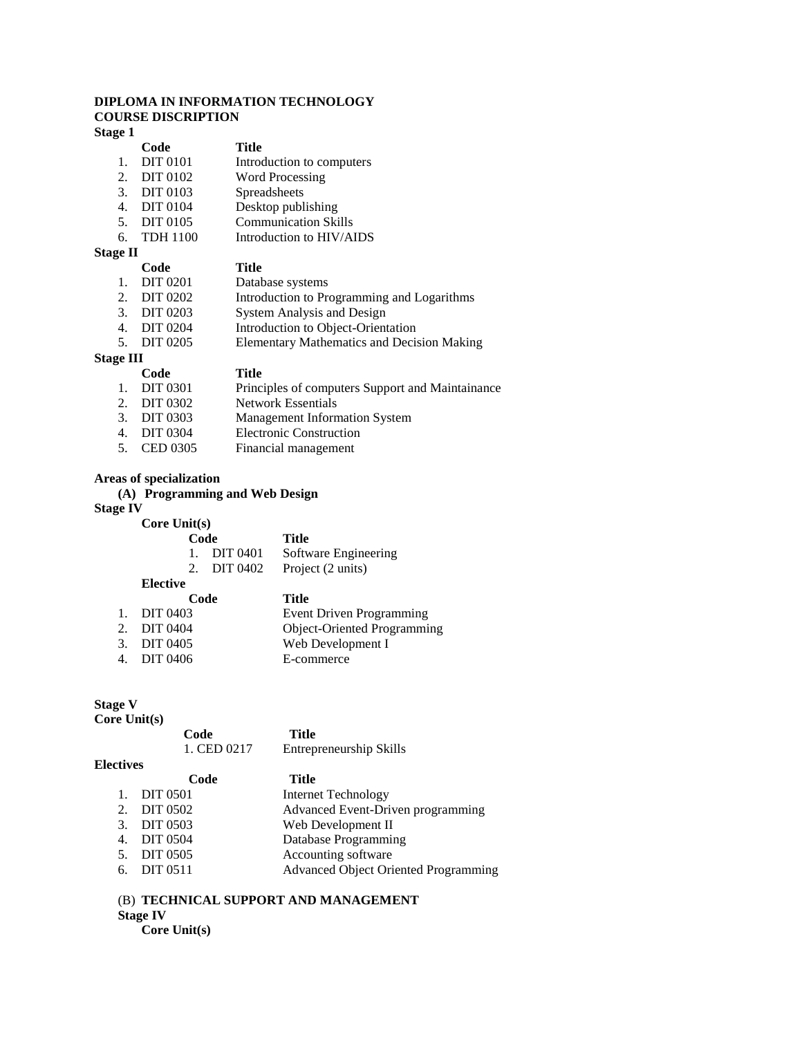### **DIPLOMA IN INFORMATION TECHNOLOGY COURSE DISCRIPTION**

### **Stage 1**

|                             | Code            | Title                                             |
|-----------------------------|-----------------|---------------------------------------------------|
| $\mathbf{1}$ .              | DIT 0101        | Introduction to computers                         |
| 2.                          | DIT 0102        | <b>Word Processing</b>                            |
| 3.                          | DIT 0103        | Spreadsheets                                      |
| 4.                          | <b>DIT 0104</b> | Desktop publishing                                |
| 5.                          | DIT 0105        | <b>Communication Skills</b>                       |
| б.                          | <b>TDH 1100</b> | Introduction to HIV/AIDS                          |
| Stage II                    |                 |                                                   |
|                             | Code            | Title                                             |
| 1.                          | <b>DIT 0201</b> | Database systems                                  |
| 2.                          | DIT 0202        | Introduction to Programming and Logarithms        |
|                             | 3. DIT 0203     | System Analysis and Design                        |
| 4.                          | DIT 0204        | Introduction to Object-Orientation                |
| 5.                          | DIT 0205        | <b>Elementary Mathematics and Decision Making</b> |
| Stage III                   |                 |                                                   |
|                             | Code            | Title                                             |
| 1.                          | <b>DIT 0301</b> | Principles of computers Support and Maintainance  |
| $\mathcal{D}_{\mathcal{L}}$ | DIT 0302        | Network Essentials                                |

- 2. DIT 0302 Network Essentials<br>3. DIT 0303 Management Inform Management Information System
- 
- 4. DIT 0304 Electronic Construction<br>5. CED 0305 Financial management Financial management

### **Areas of specialization**

### **(A) Programming and Web Design**

# **Stage IV**

| Core Unit( $s$ ) |      |               |                      |
|------------------|------|---------------|----------------------|
|                  | Code |               | Title                |
|                  |      | 1. DIT $0401$ | Software Engineering |
|                  |      | 2. DIT 0402   | Project (2 units)    |
| Elective         |      |               |                      |
|                  | C.J. |               | ти.                  |

| Code          | Title                              |
|---------------|------------------------------------|
| 1. DIT $0403$ | Event Driven Programming           |
| 2. DIT $0404$ | <b>Object-Oriented Programming</b> |
| 3. DIT 0405   | Web Development I                  |
| 4. DIT 0406   | E-commerce                         |

### **Stage V**

### **Core Unit(s)**

| Code        | Title                   |
|-------------|-------------------------|
| 1. CED 0217 | Entrepreneurship Skills |

## **Electives**

| Code        | <b>Title</b>                                |
|-------------|---------------------------------------------|
| 1. DIT 0501 | <b>Internet Technology</b>                  |
| 2. DIT 0502 | Advanced Event-Driven programming           |
| 3. DIT 0503 | Web Development II                          |
| 4. DIT 0504 | Database Programming                        |
| 5. DIT 0505 | Accounting software                         |
| 6. DIT 0511 | <b>Advanced Object Oriented Programming</b> |

(B) **TECHNICAL SUPPORT AND MANAGEMENT Stage IV**

**Core Unit(s)**